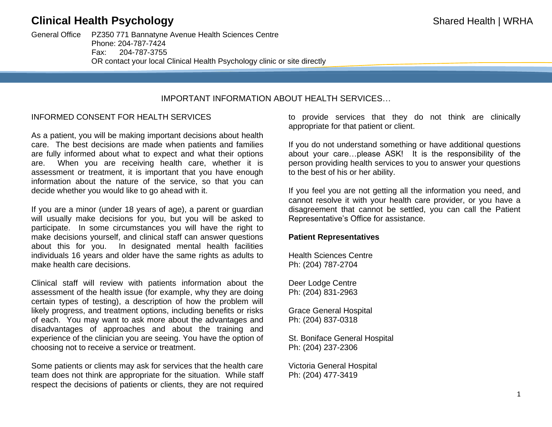# **Clinical Health Psychology Shared Health | WRHA**

General Office PZ350 771 Bannatyne Avenue Health Sciences Centre Phone: 204-787-7424 Fax: 204-787-3755 OR contact your local Clinical Health Psychology clinic or site directly

# IMPORTANT INFORMATION ABOUT HEALTH SERVICES…

## INFORMED CONSENT FOR HEALTH SERVICES

As a patient, you will be making important decisions about health care. The best decisions are made when patients and families are fully informed about what to expect and what their options are. When you are receiving health care, whether it is assessment or treatment, it is important that you have enough information about the nature of the service, so that you can decide whether you would like to go ahead with it.

If you are a minor (under 18 years of age), a parent or guardian will usually make decisions for you, but you will be asked to participate. In some circumstances you will have the right to make decisions yourself, and clinical staff can answer questions about this for you. In designated mental health facilities individuals 16 years and older have the same rights as adults to make health care decisions.

Clinical staff will review with patients information about the assessment of the health issue (for example, why they are doing certain types of testing), a description of how the problem will likely progress, and treatment options, including benefits or risks of each. You may want to ask more about the advantages and disadvantages of approaches and about the training and experience of the clinician you are seeing. You have the option of choosing not to receive a service or treatment.

Some patients or clients may ask for services that the health care team does not think are appropriate for the situation. While staff respect the decisions of patients or clients, they are not required to provide services that they do not think are clinically appropriate for that patient or client.

If you do not understand something or have additional questions about your care…please ASK! It is the responsibility of the person providing health services to you to answer your questions to the best of his or her ability.

If you feel you are not getting all the information you need, and cannot resolve it with your health care provider, or you have a disagreement that cannot be settled, you can call the Patient Representative's Office for assistance.

#### **Patient Representatives**

Health Sciences Centre Ph: (204) 787-2704

Deer Lodge Centre Ph: (204) 831-2963

Grace General Hospital Ph: (204) 837-0318

St. Boniface General Hospital Ph: (204) 237-2306

Victoria General Hospital Ph: (204) 477-3419